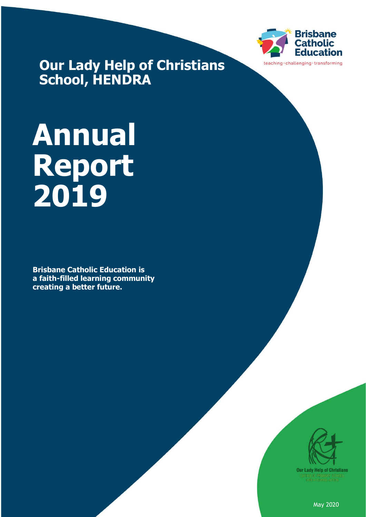

**Our Lady Help of Christians School, HENDRA**

# **Annual Report 2019**

**Brisbane Catholic Education is a faith-filled learning community creating a better future.**



May 2020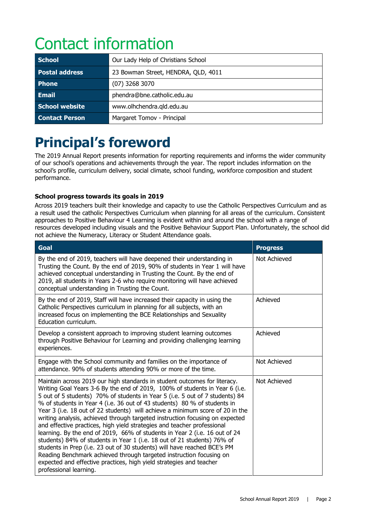# Contact information

| <b>School</b>         | Our Lady Help of Christians School  |
|-----------------------|-------------------------------------|
| <b>Postal address</b> | 23 Bowman Street, HENDRA, QLD, 4011 |
| <b>Phone</b>          | $(07)$ 3268 3070                    |
| <b>Email</b>          | phendra@bne.catholic.edu.au         |
| School website        | www.olhchendra.qld.edu.au           |
| <b>Contact Person</b> | Margaret Tomov - Principal          |

# **Principal's foreword**

The 2019 Annual Report presents information for reporting requirements and informs the wider community of our school's operations and achievements through the year. The report includes information on the school's profile, curriculum delivery, social climate, school funding, workforce composition and student performance.

#### **School progress towards its goals in 2019**

Across 2019 teachers built their knowledge and capacity to use the Catholic Perspectives Curriculum and as a result used the catholic Perspectives Curriculum when planning for all areas of the curriculum. Consistent approaches to Positive Behaviour 4 Learning is evident within and around the school with a range of resources developed including visuals and the Positive Behaviour Support Plan. Unfortunately, the school did not achieve the Numeracy, Literacy or Student Attendance goals.

| Goal                                                                                                                                                                                                                                                                                                                                                                                                                                                                                                                                                                                                                                                                                                                                                                                                                                                                                                                                                                          | <b>Progress</b> |
|-------------------------------------------------------------------------------------------------------------------------------------------------------------------------------------------------------------------------------------------------------------------------------------------------------------------------------------------------------------------------------------------------------------------------------------------------------------------------------------------------------------------------------------------------------------------------------------------------------------------------------------------------------------------------------------------------------------------------------------------------------------------------------------------------------------------------------------------------------------------------------------------------------------------------------------------------------------------------------|-----------------|
| By the end of 2019, teachers will have deepened their understanding in<br>Trusting the Count. By the end of 2019, 90% of students in Year 1 will have<br>achieved conceptual understanding in Trusting the Count. By the end of<br>2019, all students in Years 2-6 who require monitoring will have achieved<br>conceptual understanding in Trusting the Count.                                                                                                                                                                                                                                                                                                                                                                                                                                                                                                                                                                                                               | Not Achieved    |
| By the end of 2019, Staff will have increased their capacity in using the<br>Catholic Perspectives curriculum in planning for all subjects, with an<br>increased focus on implementing the BCE Relationships and Sexuality<br>Education curriculum.                                                                                                                                                                                                                                                                                                                                                                                                                                                                                                                                                                                                                                                                                                                           | Achieved        |
| Develop a consistent approach to improving student learning outcomes<br>through Positive Behaviour for Learning and providing challenging learning<br>experiences.                                                                                                                                                                                                                                                                                                                                                                                                                                                                                                                                                                                                                                                                                                                                                                                                            | Achieved        |
| Engage with the School community and families on the importance of<br>attendance. 90% of students attending 90% or more of the time.                                                                                                                                                                                                                                                                                                                                                                                                                                                                                                                                                                                                                                                                                                                                                                                                                                          | Not Achieved    |
| Maintain across 2019 our high standards in student outcomes for literacy.<br>Writing Goal Years 3-6 By the end of 2019, 100% of students in Year 6 (i.e.<br>5 out of 5 students) 70% of students in Year 5 (i.e. 5 out of 7 students) 84<br>% of students in Year 4 (i.e. 36 out of 43 students) 80 % of students in<br>Year 3 (i.e. 18 out of 22 students) will achieve a minimum score of 20 in the<br>writing analysis, achieved through targeted instruction focusing on expected<br>and effective practices, high yield strategies and teacher professional<br>learning. By the end of 2019, 66% of students in Year 2 (i.e. 16 out of 24<br>students) 84% of students in Year 1 (i.e. 18 out of 21 students) 76% of<br>students in Prep (i.e. 23 out of 30 students) will have reached BCE's PM<br>Reading Benchmark achieved through targeted instruction focusing on<br>expected and effective practices, high yield strategies and teacher<br>professional learning. | Not Achieved    |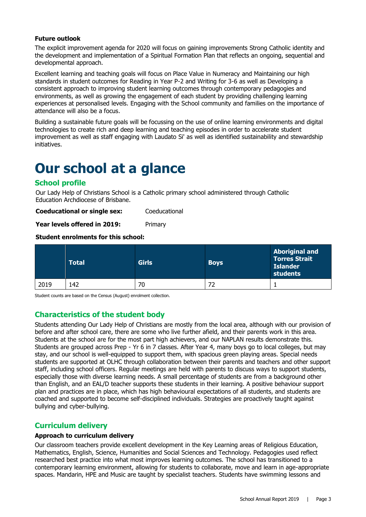#### **Future outlook**

The explicit improvement agenda for 2020 will focus on gaining improvements Strong Catholic identity and the development and implementation of a Spiritual Formation Plan that reflects an ongoing, sequential and developmental approach.

Excellent learning and teaching goals will focus on Place Value in Numeracy and Maintaining our high standards in student outcomes for Reading in Year P-2 and Writing for 3-6 as well as Developing a consistent approach to improving student learning outcomes through contemporary pedagogies and environments, as well as growing the engagement of each student by providing challenging learning experiences at personalised levels. Engaging with the School community and families on the importance of attendance will also be a focus.

Building a sustainable future goals will be focussing on the use of online learning environments and digital technologies to create rich and deep learning and teaching episodes in order to accelerate student improvement as well as staff engaging with Laudato Si' as well as identified sustainability and stewardship initiatives.

### **Our school at a glance**

#### **School profile**

Our Lady Help of Christians School is a Catholic primary school administered through Catholic Education Archdiocese of Brisbane.

**Coeducational or single sex:** Coeducational

**Year levels offered in 2019:** Primary

#### **Student enrolments for this school:**

|      | <b>Total</b> | <b>Girls</b> | <b>Boys</b> | <b>Aboriginal and</b><br><b>Torres Strait</b><br><b>Islander</b><br>students |
|------|--------------|--------------|-------------|------------------------------------------------------------------------------|
| 2019 | 142          | 70           | 72          |                                                                              |

Student counts are based on the Census (August) enrolment collection.

#### **Characteristics of the student body**

Students attending Our Lady Help of Christians are mostly from the local area, although with our provision of before and after school care, there are some who live further afield, and their parents work in this area. Students at the school are for the most part high achievers, and our NAPLAN results demonstrate this. Students are grouped across Prep - Yr 6 in 7 classes. After Year 4, many boys go to local colleges, but may stay, and our school is well-equipped to support them, with spacious green playing areas. Special needs students are supported at OLHC through collaboration between their parents and teachers and other support staff, including school officers. Regular meetings are held with parents to discuss ways to support students, especially those with diverse learning needs. A small percentage of students are from a background other than English, and an EAL/D teacher supports these students in their learning. A positive behaviour support plan and practices are in place, which has high behavioural expectations of all students, and students are coached and supported to become self-disciplined individuals. Strategies are proactively taught against bullying and cyber-bullying.

#### **Curriculum delivery**

#### **Approach to curriculum delivery**

Our classroom teachers provide excellent development in the Key Learning areas of Religious Education, Mathematics, English, Science, Humanities and Social Sciences and Technology. Pedagogies used reflect researched best practice into what most improves learning outcomes. The school has transitioned to a contemporary learning environment, allowing for students to collaborate, move and learn in age-appropriate spaces. Mandarin, HPE and Music are taught by specialist teachers. Students have swimming lessons and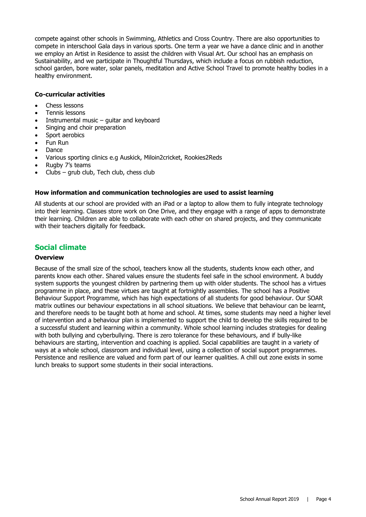compete against other schools in Swimming, Athletics and Cross Country. There are also opportunities to compete in interschool Gala days in various sports. One term a year we have a dance clinic and in another we employ an Artist in Residence to assist the children with Visual Art. Our school has an emphasis on Sustainability, and we participate in Thoughtful Thursdays, which include a focus on rubbish reduction, school garden, bore water, solar panels, meditation and Active School Travel to promote healthy bodies in a healthy environment.

#### **Co-curricular activities**

- Chess lessons
- Tennis lessons
- Instrumental music  $-$  quitar and keyboard
- Singing and choir preparation
- Sport aerobics
- Fun Run
- Dance
- Various sporting clinics e.g Auskick, Miloin2cricket, Rookies2Reds
- Rugby 7's teams
- $Clubs grub club$ , Tech club, chess club

#### **How information and communication technologies are used to assist learning**

All students at our school are provided with an iPad or a laptop to allow them to fully integrate technology into their learning. Classes store work on One Drive, and they engage with a range of apps to demonstrate their learning. Children are able to collaborate with each other on shared projects, and they communicate with their teachers digitally for feedback.

#### **Social climate**

#### **Overview**

Because of the small size of the school, teachers know all the students, students know each other, and parents know each other. Shared values ensure the students feel safe in the school environment. A buddy system supports the youngest children by partnering them up with older students. The school has a virtues programme in place, and these virtues are taught at fortnightly assemblies. The school has a Positive Behaviour Support Programme, which has high expectations of all students for good behaviour. Our SOAR matrix outlines our behaviour expectations in all school situations. We believe that behaviour can be learnt, and therefore needs to be taught both at home and school. At times, some students may need a higher level of intervention and a behaviour plan is implemented to support the child to develop the skills required to be a successful student and learning within a community. Whole school learning includes strategies for dealing with both bullying and cyberbullying. There is zero tolerance for these behaviours, and if bully-like behaviours are starting, intervention and coaching is applied. Social capabilities are taught in a variety of ways at a whole school, classroom and individual level, using a collection of social support programmes. Persistence and resilience are valued and form part of our learner qualities. A chill out zone exists in some lunch breaks to support some students in their social interactions.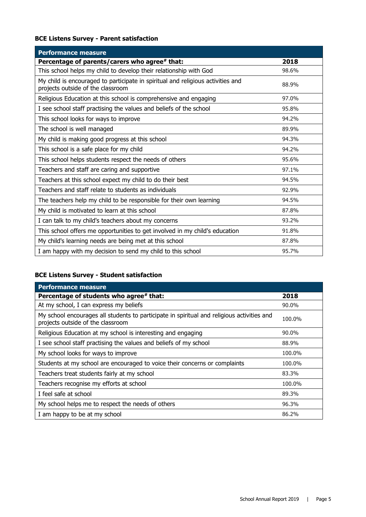#### **BCE Listens Survey - Parent satisfaction**

| <b>Performance measure</b>                                                                                           |       |
|----------------------------------------------------------------------------------------------------------------------|-------|
| Percentage of parents/carers who agree# that:                                                                        | 2018  |
| This school helps my child to develop their relationship with God                                                    | 98.6% |
| My child is encouraged to participate in spiritual and religious activities and<br>projects outside of the classroom | 88.9% |
| Religious Education at this school is comprehensive and engaging                                                     | 97.0% |
| I see school staff practising the values and beliefs of the school                                                   | 95.8% |
| This school looks for ways to improve                                                                                | 94.2% |
| The school is well managed                                                                                           | 89.9% |
| My child is making good progress at this school                                                                      | 94.3% |
| This school is a safe place for my child                                                                             | 94.2% |
| This school helps students respect the needs of others                                                               | 95.6% |
| Teachers and staff are caring and supportive                                                                         | 97.1% |
| Teachers at this school expect my child to do their best                                                             | 94.5% |
| Teachers and staff relate to students as individuals                                                                 | 92.9% |
| The teachers help my child to be responsible for their own learning                                                  | 94.5% |
| My child is motivated to learn at this school                                                                        | 87.8% |
| I can talk to my child's teachers about my concerns                                                                  | 93.2% |
| This school offers me opportunities to get involved in my child's education                                          | 91.8% |
| My child's learning needs are being met at this school                                                               | 87.8% |
| I am happy with my decision to send my child to this school                                                          | 95.7% |

#### **BCE Listens Survey - Student satisfaction**

| <b>Performance measure</b>                                                                                                      |        |
|---------------------------------------------------------------------------------------------------------------------------------|--------|
| Percentage of students who agree# that:                                                                                         | 2018   |
| At my school, I can express my beliefs                                                                                          | 90.0%  |
| My school encourages all students to participate in spiritual and religious activities and<br>projects outside of the classroom | 100.0% |
| Religious Education at my school is interesting and engaging                                                                    | 90.0%  |
| I see school staff practising the values and beliefs of my school                                                               | 88.9%  |
| My school looks for ways to improve                                                                                             | 100.0% |
| Students at my school are encouraged to voice their concerns or complaints                                                      | 100.0% |
| Teachers treat students fairly at my school                                                                                     | 83.3%  |
| Teachers recognise my efforts at school                                                                                         | 100.0% |
| I feel safe at school                                                                                                           | 89.3%  |
| My school helps me to respect the needs of others                                                                               | 96.3%  |
| I am happy to be at my school                                                                                                   | 86.2%  |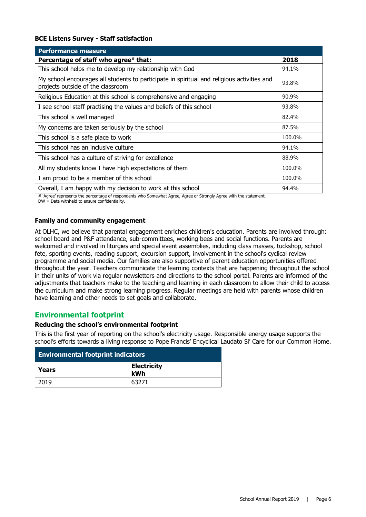#### **BCE Listens Survey - Staff satisfaction**

| <b>Performance measure</b>                                                                                                      |        |
|---------------------------------------------------------------------------------------------------------------------------------|--------|
| Percentage of staff who agree# that:                                                                                            | 2018   |
| This school helps me to develop my relationship with God                                                                        | 94.1%  |
| My school encourages all students to participate in spiritual and religious activities and<br>projects outside of the classroom | 93.8%  |
| Religious Education at this school is comprehensive and engaging                                                                | 90.9%  |
| I see school staff practising the values and beliefs of this school                                                             | 93.8%  |
| This school is well managed                                                                                                     | 82.4%  |
| My concerns are taken seriously by the school                                                                                   | 87.5%  |
| This school is a safe place to work                                                                                             | 100.0% |
| This school has an inclusive culture                                                                                            | 94.1%  |
| This school has a culture of striving for excellence                                                                            | 88.9%  |
| All my students know I have high expectations of them                                                                           | 100.0% |
| I am proud to be a member of this school                                                                                        | 100.0% |
| Overall, I am happy with my decision to work at this school                                                                     | 94.4%  |

# 'Agree' represents the percentage of respondents who Somewhat Agree, Agree or Strongly Agree with the statement.

DW = Data withheld to ensure confidentiality.

#### **Family and community engagement**

At OLHC, we believe that parental engagement enriches children's education. Parents are involved through: school board and P&F attendance, sub-committees, working bees and social functions. Parents are welcomed and involved in liturgies and special event assemblies, including class masses, tuckshop, school fete, sporting events, reading support, excursion support, involvement in the school's cyclical review programme and social media. Our families are also supportive of parent education opportunities offered throughout the year. Teachers communicate the learning contexts that are happening throughout the school in their units of work via regular newsletters and directions to the school portal. Parents are informed of the adjustments that teachers make to the teaching and learning in each classroom to allow their child to access the curriculum and make strong learning progress. Regular meetings are held with parents whose children have learning and other needs to set goals and collaborate.

#### **Environmental footprint**

#### **Reducing the school's environmental footprint**

This is the first year of reporting on the school's electricity usage. Responsible energy usage supports the school's efforts towards a living response to Pope Francis' Encyclical Laudato Si' Care for our Common Home.

| <b>Environmental footprint indicators</b> |                           |  |
|-------------------------------------------|---------------------------|--|
| Years                                     | <b>Electricity</b><br>kWh |  |
| 2019                                      | 63271                     |  |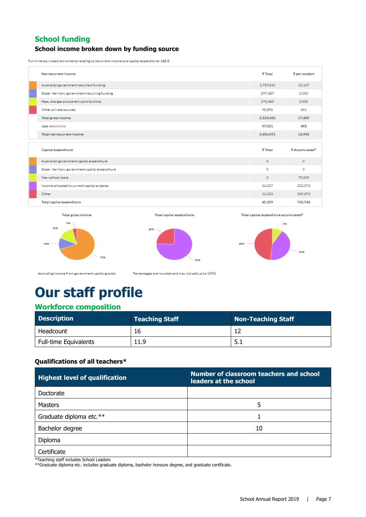#### **School funding School income broken down by funding source**

Full-time equivalent enrolments relating to recurrent income and capital expenditure: 145.0

| Net recurrent income                             | \$ Total  | \$ per student              |
|--------------------------------------------------|-----------|-----------------------------|
| Australian government recurrent funding          | 1,759,810 | 12,137                      |
| State / territory government recurring funding   | 297,487   | 2.052                       |
| Fees, charges and parent contributions           | 370.489   | 2.555                       |
| Other private sources                            | 95,896    | 661                         |
| Total gross income                               | 2,523,682 | 17,405                      |
| Less deductions                                  | 67.031    | 462                         |
| Total net recurrent income                       | 2,456,651 | 16,942                      |
|                                                  |           |                             |
|                                                  |           |                             |
| Capital expenditure                              | \$ Total  | \$ Accumulated <sup>1</sup> |
| Australian government capital expenditure        | $\circ$   | $\circ$                     |
| State / territory government capital expenditure | ٥         | ۰                           |
| New school loans                                 | $\circ$   | 70,000                      |
| Income allocated to current capital projects     | 34.227    | 323.073                     |
| Other                                            | 11.132    | 369.673                     |

Total gross income 155 125 20%

Total capital expenditure







(excluding income from government capital grants)

Percentages are rounded and may not add up to 100%

# **Our staff profile**

#### **Workforce composition**

| <b>Description</b>           | <b>Teaching Staff</b> | <b>Non-Teaching Staff</b> |
|------------------------------|-----------------------|---------------------------|
| Headcount                    | 16                    |                           |
| <b>Full-time Equivalents</b> | 11.9                  | 1.5.1                     |

#### **Qualifications of all teachers\***

| <b>Highest level of qualification</b> | Number of classroom teachers and school<br>leaders at the school |
|---------------------------------------|------------------------------------------------------------------|
| Doctorate                             |                                                                  |
| <b>Masters</b>                        | 5                                                                |
| Graduate diploma etc.**               |                                                                  |
| Bachelor degree                       | 10                                                               |
| Diploma                               |                                                                  |
| Certificate                           |                                                                  |

\*Teaching staff includes School Leaders

\*\*Graduate diploma etc. includes graduate diploma, bachelor honours degree, and graduate certificate.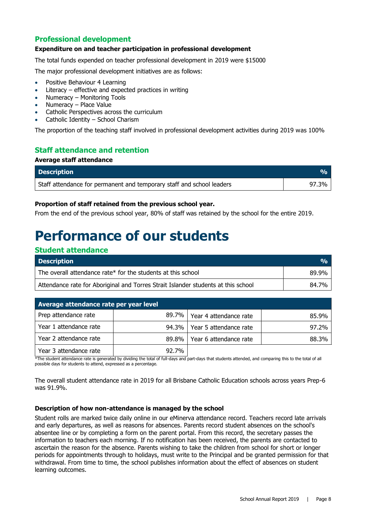#### **Professional development**

#### **Expenditure on and teacher participation in professional development**

The total funds expended on teacher professional development in 2019 were \$15000

The major professional development initiatives are as follows:

- Positive Behaviour 4 Learning
- Literacy effective and expected practices in writing
- Numeracy Monitoring Tools
- Numeracy Place Value
- Catholic Perspectives across the curriculum
- Catholic Identity School Charism

The proportion of the teaching staff involved in professional development activities during 2019 was 100%

#### **Staff attendance and retention**

#### **Average staff attendance**

| <b>Description</b>                                                    | VA.   |
|-----------------------------------------------------------------------|-------|
| Staff attendance for permanent and temporary staff and school leaders | 97.3% |

#### **Proportion of staff retained from the previous school year.**

From the end of the previous school year, 80% of staff was retained by the school for the entire 2019.

## **Performance of our students**

| <b>Student attendance</b>                                                         |               |  |
|-----------------------------------------------------------------------------------|---------------|--|
| <b>Description</b>                                                                | $\frac{0}{0}$ |  |
| The overall attendance rate* for the students at this school                      | 89.9%         |  |
| Attendance rate for Aboriginal and Torres Strait Islander students at this school | 84.7%         |  |

| Average attendance rate per year level |       |                                |       |  |  |  |
|----------------------------------------|-------|--------------------------------|-------|--|--|--|
| Prep attendance rate                   |       | 89.7%   Year 4 attendance rate | 85.9% |  |  |  |
| Year 1 attendance rate                 |       | 94.3%   Year 5 attendance rate | 97.2% |  |  |  |
| Year 2 attendance rate                 | 89.8% | Year 6 attendance rate         | 88.3% |  |  |  |
| Year 3 attendance rate                 | 92.7% |                                |       |  |  |  |

\*The student attendance rate is generated by dividing the total of full-days and part-days that students attended, and comparing this to the total of all possible days for students to attend, expressed as a percentage.

The overall student attendance rate in 2019 for all Brisbane Catholic Education schools across years Prep-6 was 91.9%.

#### **Description of how non-attendance is managed by the school**

Student rolls are marked twice daily online in our eMinerva attendance record. Teachers record late arrivals and early departures, as well as reasons for absences. Parents record student absences on the school's absentee line or by completing a form on the parent portal. From this record, the secretary passes the information to teachers each morning. If no notification has been received, the parents are contacted to ascertain the reason for the absence. Parents wishing to take the children from school for short or longer periods for appointments through to holidays, must write to the Principal and be granted permission for that withdrawal. From time to time, the school publishes information about the effect of absences on student learning outcomes.